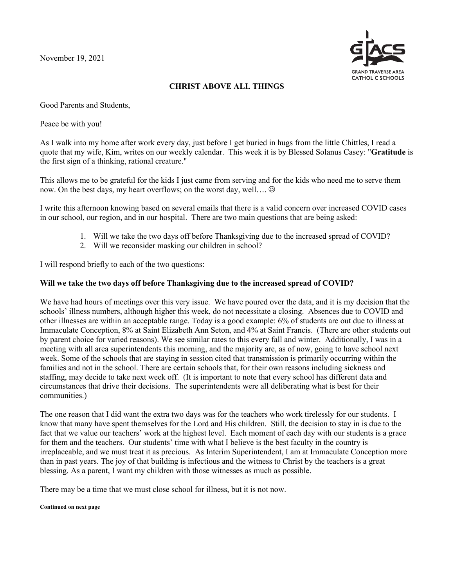November 19, 2021



## **CHRIST ABOVE ALL THINGS**

Good Parents and Students,

Peace be with you!

As I walk into my home after work every day, just before I get buried in hugs from the little Chittles, I read a quote that my wife, Kim, writes on our weekly calendar. This week it is by Blessed Solanus Casey: "**Gratitude** is the first sign of a thinking, rational creature."

This allows me to be grateful for the kids I just came from serving and for the kids who need me to serve them now. On the best days, my heart overflows; on the worst day, well.... $\odot$ 

I write this afternoon knowing based on several emails that there is a valid concern over increased COVID cases in our school, our region, and in our hospital. There are two main questions that are being asked:

- 1. Will we take the two days off before Thanksgiving due to the increased spread of COVID?
- 2. Will we reconsider masking our children in school?

I will respond briefly to each of the two questions:

## **Will we take the two days off before Thanksgiving due to the increased spread of COVID?**

We have had hours of meetings over this very issue. We have poured over the data, and it is my decision that the schools' illness numbers, although higher this week, do not necessitate a closing. Absences due to COVID and other illnesses are within an acceptable range. Today is a good example: 6% of students are out due to illness at Immaculate Conception, 8% at Saint Elizabeth Ann Seton, and 4% at Saint Francis. (There are other students out by parent choice for varied reasons). We see similar rates to this every fall and winter. Additionally, I was in a meeting with all area superintendents this morning, and the majority are, as of now, going to have school next week. Some of the schools that are staying in session cited that transmission is primarily occurring within the families and not in the school. There are certain schools that, for their own reasons including sickness and staffing, may decide to take next week off. (It is important to note that every school has different data and circumstances that drive their decisions. The superintendents were all deliberating what is best for their communities.)

The one reason that I did want the extra two days was for the teachers who work tirelessly for our students. I know that many have spent themselves for the Lord and His children. Still, the decision to stay in is due to the fact that we value our teachers' work at the highest level. Each moment of each day with our students is a grace for them and the teachers. Our students' time with what I believe is the best faculty in the country is irreplaceable, and we must treat it as precious. As Interim Superintendent, I am at Immaculate Conception more than in past years. The joy of that building is infectious and the witness to Christ by the teachers is a great blessing. As a parent, I want my children with those witnesses as much as possible.

There may be a time that we must close school for illness, but it is not now.

## **Continued on next page**